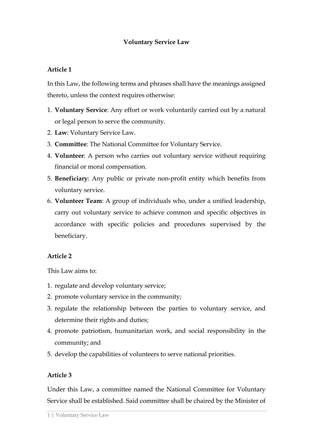#### **Voluntary Service Law**

#### **Article 1**

In this Law, the following terms and phrases shall have the meanings assigned thereto, unless the context requires otherwise:

- 1. **Voluntary Service**: Any effort or work voluntarily carried out by a natural or legal person to serve the community.
- 2. **Law**: Voluntary Service Law.
- 3. **Committee**: The National Committee for Voluntary Service.
- 4. **Volunteer**: A person who carries out voluntary service without requiring financial or moral compensation.
- 5. **Beneficiary**: Any public or private non-profit entity which benefits from voluntary service.
- 6. **Volunteer Team**: A group of individuals who, under a unified leadership, carry out voluntary service to achieve common and specific objectives in accordance with specific policies and procedures supervised by the beneficiary.

#### **Article 2**

This Law aims to:

- 1. regulate and develop voluntary service;
- 2. promote voluntary service in the community;
- 3. regulate the relationship between the parties to voluntary service, and determine their rights and duties;
- 4. promote patriotism, humanitarian work, and social responsibility in the community; and
- 5. develop the capabilities of volunteers to serve national priorities.

#### **Article 3**

Under this Law, a committee named the National Committee for Voluntary Service shall be established. Said committee shall be chaired by the Minister of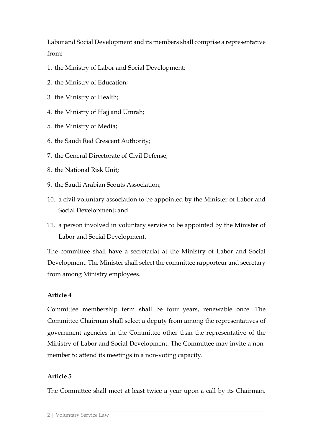Labor and Social Development and its members shall comprise a representative from:

- 1. the Ministry of Labor and Social Development;
- 2. the Ministry of Education;
- 3. the Ministry of Health;
- 4. the Ministry of Hajj and Umrah;
- 5. the Ministry of Media;
- 6. the Saudi Red Crescent Authority;
- 7. the General Directorate of Civil Defense;
- 8. the National Risk Unit;
- 9. the Saudi Arabian Scouts Association;
- 10. a civil voluntary association to be appointed by the Minister of Labor and Social Development; and
- 11. a person involved in voluntary service to be appointed by the Minister of Labor and Social Development.

The committee shall have a secretariat at the Ministry of Labor and Social Development. The Minister shall select the committee rapporteur and secretary from among Ministry employees.

# **Article 4**

Committee membership term shall be four years, renewable once. The Committee Chairman shall select a deputy from among the representatives of government agencies in the Committee other than the representative of the Ministry of Labor and Social Development. The Committee may invite a nonmember to attend its meetings in a non-voting capacity.

# **Article 5**

The Committee shall meet at least twice a year upon a call by its Chairman.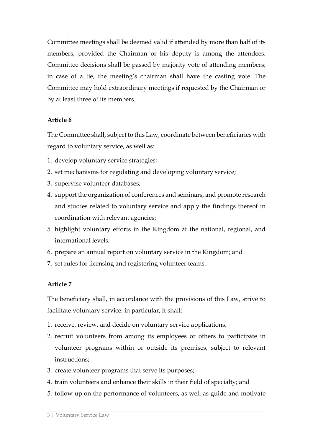Committee meetings shall be deemed valid if attended by more than half of its members, provided the Chairman or his deputy is among the attendees. Committee decisions shall be passed by majority vote of attending members; in case of a tie, the meeting's chairman shall have the casting vote. The Committee may hold extraordinary meetings if requested by the Chairman or by at least three of its members.

#### **Article 6**

The Committee shall, subject to this Law, coordinate between beneficiaries with regard to voluntary service, as well as:

- 1. develop voluntary service strategies;
- 2. set mechanisms for regulating and developing voluntary service;
- 3. supervise volunteer databases;
- 4. support the organization of conferences and seminars, and promote research and studies related to voluntary service and apply the findings thereof in coordination with relevant agencies;
- 5. highlight voluntary efforts in the Kingdom at the national, regional, and international levels;
- 6. prepare an annual report on voluntary service in the Kingdom; and
- 7. set rules for licensing and registering volunteer teams.

# **Article 7**

The beneficiary shall, in accordance with the provisions of this Law, strive to facilitate voluntary service; in particular, it shall:

- 1. receive, review, and decide on voluntary service applications;
- 2. recruit volunteers from among its employees or others to participate in volunteer programs within or outside its premises, subject to relevant instructions;
- 3. create volunteer programs that serve its purposes;
- 4. train volunteers and enhance their skills in their field of specialty; and
- 5. follow up on the performance of volunteers, as well as guide and motivate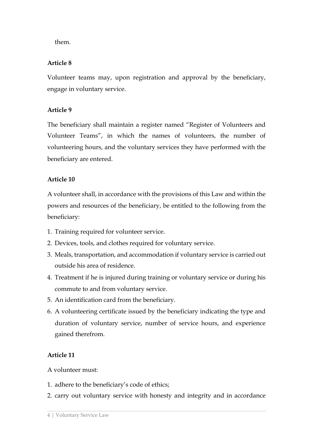them.

### **Article 8**

Volunteer teams may, upon registration and approval by the beneficiary, engage in voluntary service.

### **Article 9**

The beneficiary shall maintain a register named "Register of Volunteers and Volunteer Teams", in which the names of volunteers, the number of volunteering hours, and the voluntary services they have performed with the beneficiary are entered.

# **Article 10**

A volunteer shall, in accordance with the provisions of this Law and within the powers and resources of the beneficiary, be entitled to the following from the beneficiary:

- 1. Training required for volunteer service.
- 2. Devices, tools, and clothes required for voluntary service.
- 3. Meals, transportation, and accommodation if voluntary service is carried out outside his area of residence.
- 4. Treatment if he is injured during training or voluntary service or during his commute to and from voluntary service.
- 5. An identification card from the beneficiary.
- 6. A volunteering certificate issued by the beneficiary indicating the type and duration of voluntary service, number of service hours, and experience gained therefrom.

# **Article 11**

#### A volunteer must:

- 1. adhere to the beneficiary's code of ethics;
- 2. carry out voluntary service with honesty and integrity and in accordance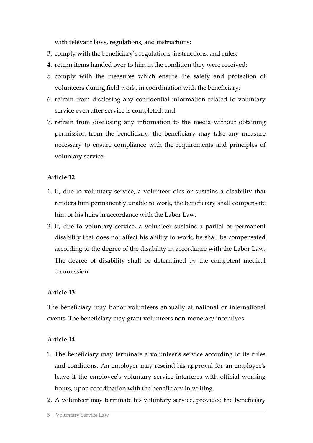with relevant laws, regulations, and instructions;

- 3. comply with the beneficiary's regulations, instructions, and rules;
- 4. return items handed over to him in the condition they were received;
- 5. comply with the measures which ensure the safety and protection of volunteers during field work, in coordination with the beneficiary;
- 6. refrain from disclosing any confidential information related to voluntary service even after service is completed; and
- 7. refrain from disclosing any information to the media without obtaining permission from the beneficiary; the beneficiary may take any measure necessary to ensure compliance with the requirements and principles of voluntary service.

### **Article 12**

- 1. If, due to voluntary service, a volunteer dies or sustains a disability that renders him permanently unable to work, the beneficiary shall compensate him or his heirs in accordance with the Labor Law.
- 2. If, due to voluntary service, a volunteer sustains a partial or permanent disability that does not affect his ability to work, he shall be compensated according to the degree of the disability in accordance with the Labor Law. The degree of disability shall be determined by the competent medical commission.

#### **Article 13**

The beneficiary may honor volunteers annually at national or international events. The beneficiary may grant volunteers non-monetary incentives.

#### **Article 14**

- 1. The beneficiary may terminate a volunteer's service according to its rules and conditions. An employer may rescind his approval for an employee's leave if the employee's voluntary service interferes with official working hours, upon coordination with the beneficiary in writing.
- 2. A volunteer may terminate his voluntary service, provided the beneficiary